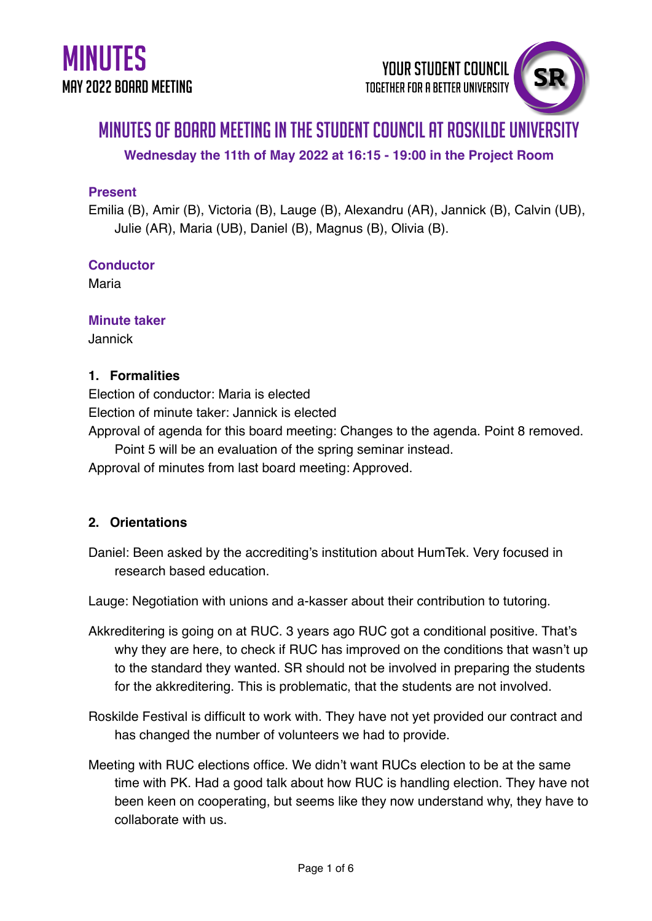# Minutes of Board Meeting in the Student Council at Roskilde University

**Wednesday the 11th of May 2022 at 16:15 - 19:00 in the Project Room**

### **Present**

Emilia (B), Amir (B), Victoria (B), Lauge (B), Alexandru (AR), Jannick (B), Calvin (UB), Julie (AR), Maria (UB), Daniel (B), Magnus (B), Olivia (B).

### **Conductor**

Maria

### **Minute taker**

Jannick

### **1. Formalities**

Election of conductor: Maria is elected

Election of minute taker: Jannick is elected

Approval of agenda for this board meeting: Changes to the agenda. Point 8 removed.

Point 5 will be an evaluation of the spring seminar instead.

Approval of minutes from last board meeting: Approved.

## **2. Orientations**

Daniel: Been asked by the accrediting's institution about HumTek. Very focused in research based education.

Lauge: Negotiation with unions and a-kasser about their contribution to tutoring.

- Akkreditering is going on at RUC. 3 years ago RUC got a conditional positive. That's why they are here, to check if RUC has improved on the conditions that wasn't up to the standard they wanted. SR should not be involved in preparing the students for the akkreditering. This is problematic, that the students are not involved.
- Roskilde Festival is difficult to work with. They have not yet provided our contract and has changed the number of volunteers we had to provide.
- Meeting with RUC elections office. We didn't want RUCs election to be at the same time with PK. Had a good talk about how RUC is handling election. They have not been keen on cooperating, but seems like they now understand why, they have to collaborate with us.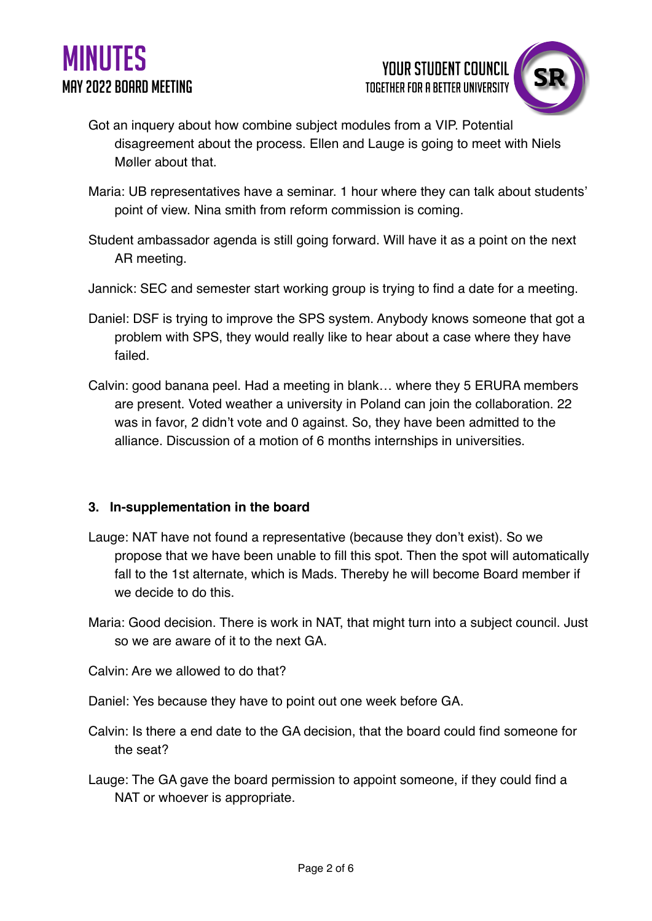



- Got an inquery about how combine subject modules from a VIP. Potential disagreement about the process. Ellen and Lauge is going to meet with Niels Møller about that.
- Maria: UB representatives have a seminar. 1 hour where they can talk about students' point of view. Nina smith from reform commission is coming.
- Student ambassador agenda is still going forward. Will have it as a point on the next AR meeting.
- Jannick: SEC and semester start working group is trying to find a date for a meeting.
- Daniel: DSF is trying to improve the SPS system. Anybody knows someone that got a problem with SPS, they would really like to hear about a case where they have failed.
- Calvin: good banana peel. Had a meeting in blank… where they 5 ERURA members are present. Voted weather a university in Poland can join the collaboration. 22 was in favor, 2 didn't vote and 0 against. So, they have been admitted to the alliance. Discussion of a motion of 6 months internships in universities.

### **3. In-supplementation in the board**

- Lauge: NAT have not found a representative (because they don't exist). So we propose that we have been unable to fill this spot. Then the spot will automatically fall to the 1st alternate, which is Mads. Thereby he will become Board member if we decide to do this.
- Maria: Good decision. There is work in NAT, that might turn into a subject council. Just so we are aware of it to the next GA.
- Calvin: Are we allowed to do that?
- Daniel: Yes because they have to point out one week before GA.
- Calvin: Is there a end date to the GA decision, that the board could find someone for the seat?
- Lauge: The GA gave the board permission to appoint someone, if they could find a NAT or whoever is appropriate.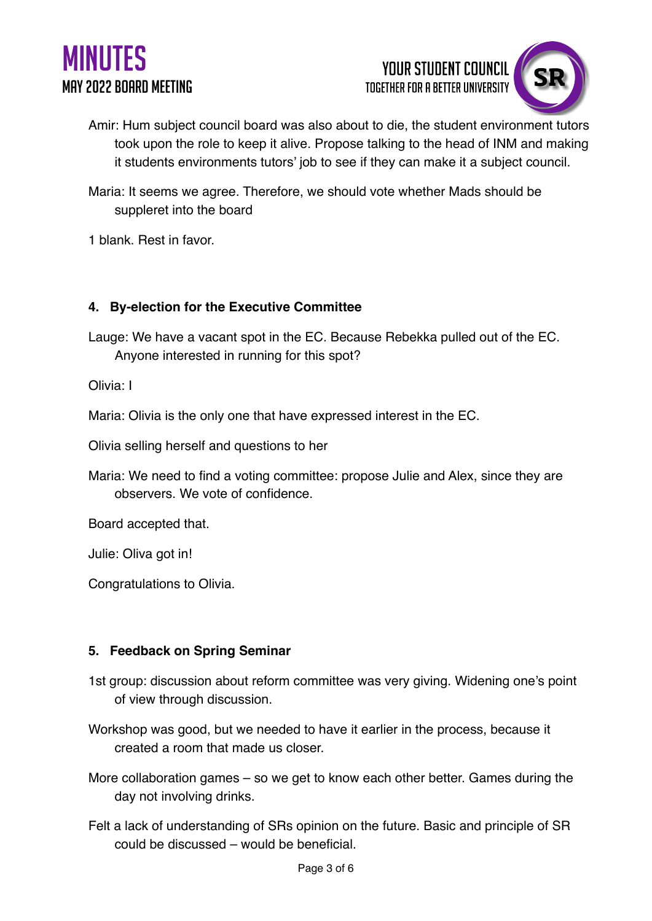





- Amir: Hum subject council board was also about to die, the student environment tutors took upon the role to keep it alive. Propose talking to the head of INM and making it students environments tutors' job to see if they can make it a subject council.
- Maria: It seems we agree. Therefore, we should vote whether Mads should be suppleret into the board
- 1 blank. Rest in favor.

### **4. By-election for the Executive Committee**

Lauge: We have a vacant spot in the EC. Because Rebekka pulled out of the EC. Anyone interested in running for this spot?

Olivia: I

Maria: Olivia is the only one that have expressed interest in the EC.

Olivia selling herself and questions to her

Maria: We need to find a voting committee: propose Julie and Alex, since they are observers. We vote of confidence.

Board accepted that.

Julie: Oliva got in!

Congratulations to Olivia.

#### **5. Feedback on Spring Seminar**

1st group: discussion about reform committee was very giving. Widening one's point of view through discussion.

Workshop was good, but we needed to have it earlier in the process, because it created a room that made us closer.

More collaboration games – so we get to know each other better. Games during the day not involving drinks.

Felt a lack of understanding of SRs opinion on the future. Basic and principle of SR could be discussed – would be beneficial.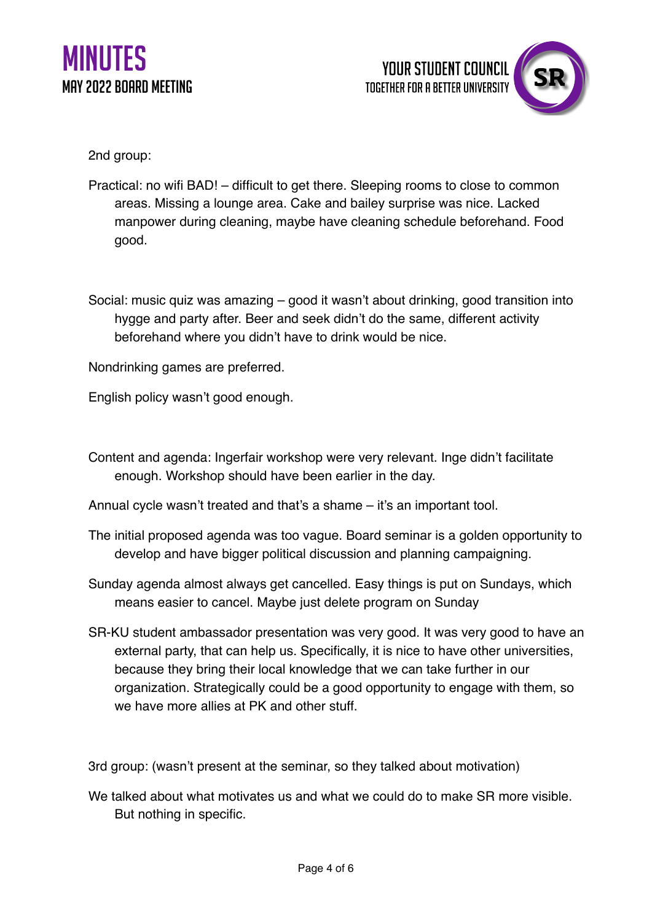

2nd group:

- Practical: no wifi BAD! difficult to get there. Sleeping rooms to close to common areas. Missing a lounge area. Cake and bailey surprise was nice. Lacked manpower during cleaning, maybe have cleaning schedule beforehand. Food good.
- Social: music quiz was amazing good it wasn't about drinking, good transition into hygge and party after. Beer and seek didn't do the same, different activity beforehand where you didn't have to drink would be nice.

Nondrinking games are preferred.

English policy wasn't good enough.

- Content and agenda: Ingerfair workshop were very relevant. Inge didn't facilitate enough. Workshop should have been earlier in the day.
- Annual cycle wasn't treated and that's a shame it's an important tool.
- The initial proposed agenda was too vague. Board seminar is a golden opportunity to develop and have bigger political discussion and planning campaigning.
- Sunday agenda almost always get cancelled. Easy things is put on Sundays, which means easier to cancel. Maybe just delete program on Sunday
- SR-KU student ambassador presentation was very good. It was very good to have an external party, that can help us. Specifically, it is nice to have other universities, because they bring their local knowledge that we can take further in our organization. Strategically could be a good opportunity to engage with them, so we have more allies at PK and other stuff.

3rd group: (wasn't present at the seminar, so they talked about motivation)

We talked about what motivates us and what we could do to make SR more visible. But nothing in specific.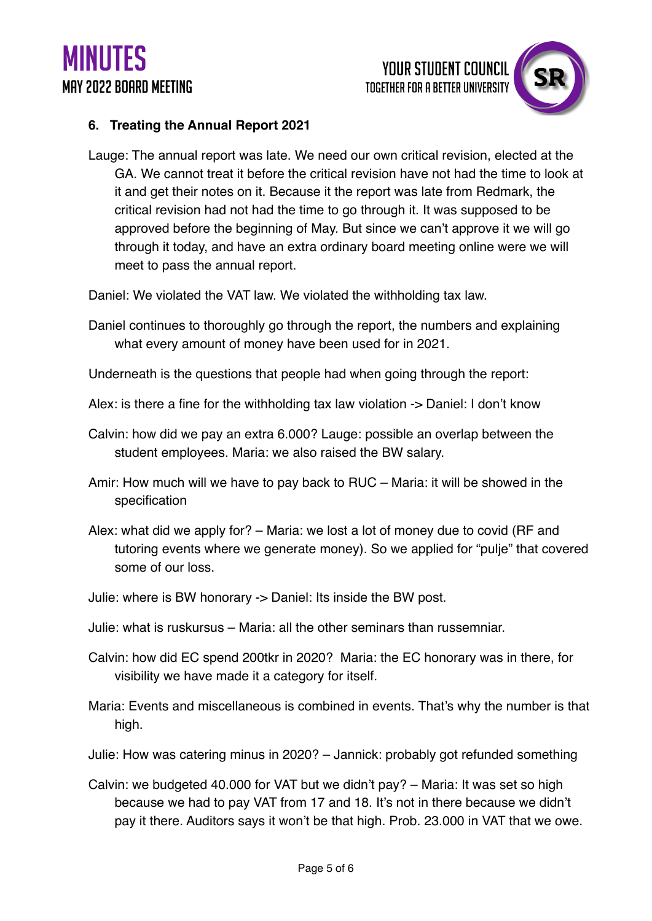

### **6. Treating the Annual Report 2021**

Lauge: The annual report was late. We need our own critical revision, elected at the GA. We cannot treat it before the critical revision have not had the time to look at it and get their notes on it. Because it the report was late from Redmark, the critical revision had not had the time to go through it. It was supposed to be approved before the beginning of May. But since we can't approve it we will go through it today, and have an extra ordinary board meeting online were we will meet to pass the annual report.

Daniel: We violated the VAT law. We violated the withholding tax law.

- Daniel continues to thoroughly go through the report, the numbers and explaining what every amount of money have been used for in 2021.
- Underneath is the questions that people had when going through the report:
- Alex: is there a fine for the withholding tax law violation -> Daniel: I don't know
- Calvin: how did we pay an extra 6.000? Lauge: possible an overlap between the student employees. Maria: we also raised the BW salary.
- Amir: How much will we have to pay back to RUC Maria: it will be showed in the specification
- Alex: what did we apply for? Maria: we lost a lot of money due to covid (RF and tutoring events where we generate money). So we applied for "pulje" that covered some of our loss.
- Julie: where is BW honorary -> Daniel: Its inside the BW post.
- Julie: what is ruskursus Maria: all the other seminars than russemniar.
- Calvin: how did EC spend 200tkr in 2020? Maria: the EC honorary was in there, for visibility we have made it a category for itself.
- Maria: Events and miscellaneous is combined in events. That's why the number is that high.
- Julie: How was catering minus in 2020? Jannick: probably got refunded something
- Calvin: we budgeted 40.000 for VAT but we didn't pay? Maria: It was set so high because we had to pay VAT from 17 and 18. It's not in there because we didn't pay it there. Auditors says it won't be that high. Prob. 23.000 in VAT that we owe.